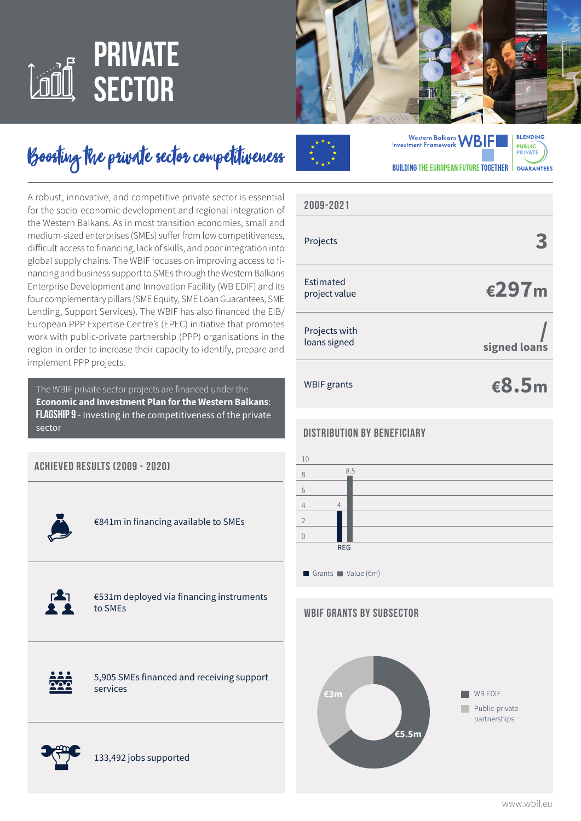# **private sector**



# Boosting the private sector competitiveness

A robust, innovative, and competitive private sector is essential for the socio-economic development and regional integration of the Western Balkans. As in most transition economies, small and medium-sized enterprises (SMEs) suffer from low competitiveness, difficult access to financing, lack of skills, and poor integration into global supply chains. The WBIF focuses on improving access to financing and business support to SMEs through the Western Balkans Enterprise Development and Innovation Facility (WB EDIF) and its four complementary pillars (SME Equity, SME Loan Guarantees, SME Lending, Support Services). The WBIF has also financed the EIB/ European PPP Expertise Centre's (EPEC) initiative that promotes work with public-private partnership (PPP) organisations in the region in order to increase their capacity to identify, prepare and implement PPP projects.

The WBIF private sector projects are financed under the **Economic and Investment Plan for the Western Balkans**: **Flagship 9** - Investing in the competitiveness of the private sector

| <b>ACHIEVED RESULTS (2009 - 2020)</b> |                                                       |
|---------------------------------------|-------------------------------------------------------|
|                                       | €841m in financing available to SMEs                  |
| $\mathbf{r}$                          | €531m deployed via financing instruments<br>to SMEs   |
|                                       | 5,905 SMEs financed and receiving support<br>services |







### **3 €297m / signed loans** Projects Estimated project value Projects with loans signed **2009-2021**

WBIF grants

**€8.5m**

#### **Distribution by Beneficiary**



#### **WBIF GRANTS BY subSECTOR**